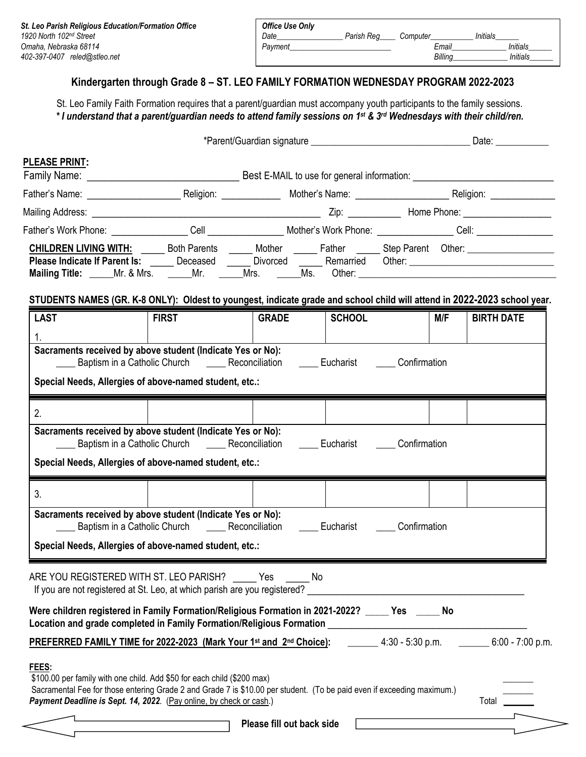| St. Leo Parish Religious Education/Formation Office | Office Use Only                                   |                 |
|-----------------------------------------------------|---------------------------------------------------|-----------------|
| 1920 North 102nd Street                             | <b>Initials</b><br>Date<br>Parish Rea<br>Computer |                 |
| Omaha. Nebraska 68114                               | Pavment<br>Email                                  | <b>Initials</b> |
| 402-397-0407<br>reled@stleo.net                     | Billina                                           | Initials        |

## **Kindergarten through Grade 8 – ST. LEO FAMILY FORMATION WEDNESDAY PROGRAM 2022-2023**

St. Leo Family Faith Formation requires that a parent/guardian must accompany youth participants to the family sessions. *\* I understand that a parent/guardian needs to attend family sessions on 1 st & 3rd Wednesdays with their child/ren.*

|                                                                                                                                                                                                                                | *Parent/Guardian signature example and the contract of the Date: |                           |                               |  |            |                   |
|--------------------------------------------------------------------------------------------------------------------------------------------------------------------------------------------------------------------------------|------------------------------------------------------------------|---------------------------|-------------------------------|--|------------|-------------------|
| <b>PLEASE PRINT:</b>                                                                                                                                                                                                           |                                                                  |                           |                               |  |            |                   |
|                                                                                                                                                                                                                                |                                                                  |                           |                               |  |            |                   |
|                                                                                                                                                                                                                                |                                                                  |                           |                               |  |            |                   |
|                                                                                                                                                                                                                                |                                                                  |                           |                               |  |            |                   |
| CHILDREN LIVING WITH: ______ Both Parents ______ Mother ______ Father ______ Step Parent Other: ______________                                                                                                                 |                                                                  |                           |                               |  |            |                   |
| Please Indicate If Parent Is: ______ Deceased ______ Divorced ______ Remarried Other: ________________________                                                                                                                 |                                                                  |                           |                               |  |            |                   |
|                                                                                                                                                                                                                                |                                                                  |                           |                               |  |            |                   |
| STUDENTS NAMES (GR. K-8 ONLY): Oldest to youngest, indicate grade and school child will attend in 2022-2023 school year.                                                                                                       |                                                                  |                           |                               |  |            |                   |
| <b>LAST</b>                                                                                                                                                                                                                    | <b>FIRST</b>                                                     | <b>GRADE</b>              | <b>SCHOOL</b>                 |  | <b>M/F</b> | <b>BIRTH DATE</b> |
| 1.                                                                                                                                                                                                                             |                                                                  |                           |                               |  |            |                   |
| Sacraments received by above student (Indicate Yes or No):<br>_____ Baptism in a Catholic Church _______ Reconciliation ______ Eucharist ______ Confirmation                                                                   |                                                                  |                           |                               |  |            |                   |
| Special Needs, Allergies of above-named student, etc.:                                                                                                                                                                         |                                                                  |                           |                               |  |            |                   |
|                                                                                                                                                                                                                                |                                                                  |                           |                               |  |            |                   |
| 2.                                                                                                                                                                                                                             |                                                                  |                           |                               |  |            |                   |
| Sacraments received by above student (Indicate Yes or No):                                                                                                                                                                     |                                                                  |                           |                               |  |            |                   |
| _____ Baptism in a Catholic Church _______ Reconciliation ______ Eucharist ______ Confirmation                                                                                                                                 |                                                                  |                           |                               |  |            |                   |
| Special Needs, Allergies of above-named student, etc.:                                                                                                                                                                         |                                                                  |                           |                               |  |            |                   |
| 3 <sub>1</sub>                                                                                                                                                                                                                 |                                                                  |                           |                               |  |            |                   |
| Sacraments received by above student (Indicate Yes or No):                                                                                                                                                                     |                                                                  |                           |                               |  |            |                   |
|                                                                                                                                                                                                                                | Baptism in a Catholic Church ________ Reconciliation             |                           | <b>Eucharist Confirmation</b> |  |            |                   |
| Special Needs, Allergies of above-named student, etc.:                                                                                                                                                                         |                                                                  |                           |                               |  |            |                   |
| ARE YOU REGISTERED WITH ST. LEO PARISH? _____ Yes _____ No                                                                                                                                                                     |                                                                  |                           |                               |  |            |                   |
| If you are not registered at St. Leo, at which parish are you registered? Let the state of the state of the state of the state of the state of the state of the state of the state of the state of the state of the state of t |                                                                  |                           |                               |  |            |                   |
| Were children registered in Family Formation/Religious Formation in 2021-2022? _____ Yes _____ No                                                                                                                              |                                                                  |                           |                               |  |            |                   |
| Location and grade completed in Family Formation/Religious Formation _______________________________                                                                                                                           |                                                                  |                           |                               |  |            |                   |
| PREFERRED FAMILY TIME for 2022-2023 (Mark Your 1 <sup>st</sup> and 2 <sup>nd</sup> Choice): 4:30 - 5:30 p.m. _______ 6:00 - 7:00 p.m.                                                                                          |                                                                  |                           |                               |  |            |                   |
| FEES:                                                                                                                                                                                                                          |                                                                  |                           |                               |  |            |                   |
| \$100.00 per family with one child. Add \$50 for each child (\$200 max)<br>Sacramental Fee for those entering Grade 2 and Grade 7 is \$10.00 per student. (To be paid even if exceeding maximum.)                              |                                                                  |                           |                               |  |            |                   |
| Payment Deadline is Sept. 14, 2022. (Pay online, by check or cash.)                                                                                                                                                            |                                                                  |                           |                               |  |            | Total             |
|                                                                                                                                                                                                                                |                                                                  | Please fill out back side |                               |  |            |                   |
|                                                                                                                                                                                                                                |                                                                  |                           |                               |  |            |                   |